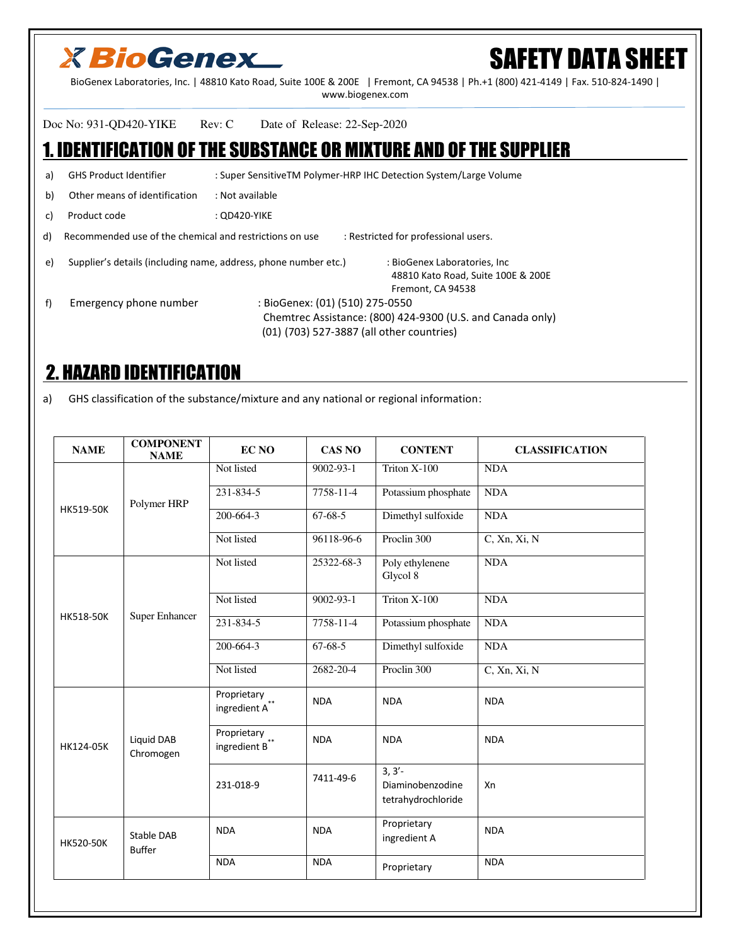## **X BioGenex**

# SAFETY DATA SHEET

BioGenex Laboratories, Inc. | 48810 Kato Road, Suite 100E & 200E | Fremont, CA 94538 | Ph.+1 (800) 421-4149 | Fax. 510-824-1490 | www.biogenex.com

Doc No: 931-QD420-YIKE Rev: C Date of Release: 22-Sep-2020

### 1. IDENTIFICATION OF THE SUBSTANCE OR MIXTURE AND OF THE SUPPLIER

a) GHS Product Identifier : Super SensitiveTM Polymer-HRP IHC Detection System/Large Volume b) Other means of identification : Not available c) Product code : QD420-YIKE d) Recommended use of the chemical and restrictions on use : Restricted for professional users. e) Supplier's details (including name, address, phone number etc.) : BioGenex Laboratories, Inc 48810 Kato Road, Suite 100E & 200E Fremont, CA 94538 f) Emergency phone number : BioGenex: (01) (510) 275-0550 Chemtrec Assistance: (800) 424-9300 (U.S. and Canada only) (01) (703) 527-3887 (all other countries)

### 2. HAZARD IDENTIFICATION

a) GHS classification of the substance/mixture and any national or regional information:

| <b>NAME</b>      | <b>COMPONENT</b><br><b>NAME</b> | <b>EC NO</b>                                                               | <b>CAS NO</b>   | <b>CONTENT</b>                                      | <b>CLASSIFICATION</b> |
|------------------|---------------------------------|----------------------------------------------------------------------------|-----------------|-----------------------------------------------------|-----------------------|
|                  | Polymer HRP                     | Not listed                                                                 | $9002 - 93 - 1$ | Triton X-100                                        | <b>NDA</b>            |
| HK519-50K        |                                 | 231-834-5                                                                  | 7758-11-4       | Potassium phosphate                                 | <b>NDA</b>            |
|                  |                                 | 200-664-3                                                                  | $67 - 68 - 5$   | Dimethyl sulfoxide                                  | <b>NDA</b>            |
|                  |                                 | Not listed                                                                 | 96118-96-6      | Proclin 300                                         | $C$ , Xn, Xi, N       |
|                  | <b>Super Enhancer</b>           | Not listed                                                                 | 25322-68-3      | Poly ethylenene<br>Glycol 8                         | <b>NDA</b>            |
|                  |                                 | Not listed                                                                 | 9002-93-1       | Triton X-100                                        | <b>NDA</b>            |
| <b>HK518-50K</b> |                                 | 231-834-5                                                                  | $7758 - 11 - 4$ | Potassium phosphate                                 | <b>NDA</b>            |
|                  |                                 | 200-664-3                                                                  | $67-68-5$       | Dimethyl sulfoxide                                  | <b>NDA</b>            |
|                  |                                 | Not listed                                                                 | 2682-20-4       | Proclin 300                                         | C, Xn, Xi, N          |
|                  | Liquid DAB<br>Chromogen         | Proprietary<br>ingredient $\textbf{A}^{**}$                                | <b>NDA</b>      | <b>NDA</b>                                          | <b>NDA</b>            |
| HK124-05K        |                                 | Proprietary<br>$\operatorname{\sf ingredient}$ $\operatorname{\sf B}^{**}$ | <b>NDA</b>      | <b>NDA</b>                                          | <b>NDA</b>            |
|                  |                                 | 231-018-9                                                                  | 7411-49-6       | $3, 3'$ -<br>Diaminobenzodine<br>tetrahydrochloride | Xn                    |
| <b>HK520-50K</b> | Stable DAB<br><b>Buffer</b>     | <b>NDA</b>                                                                 | <b>NDA</b>      | Proprietary<br>ingredient A                         | <b>NDA</b>            |
|                  |                                 | <b>NDA</b>                                                                 | <b>NDA</b>      | Proprietary                                         | <b>NDA</b>            |
|                  |                                 |                                                                            |                 |                                                     |                       |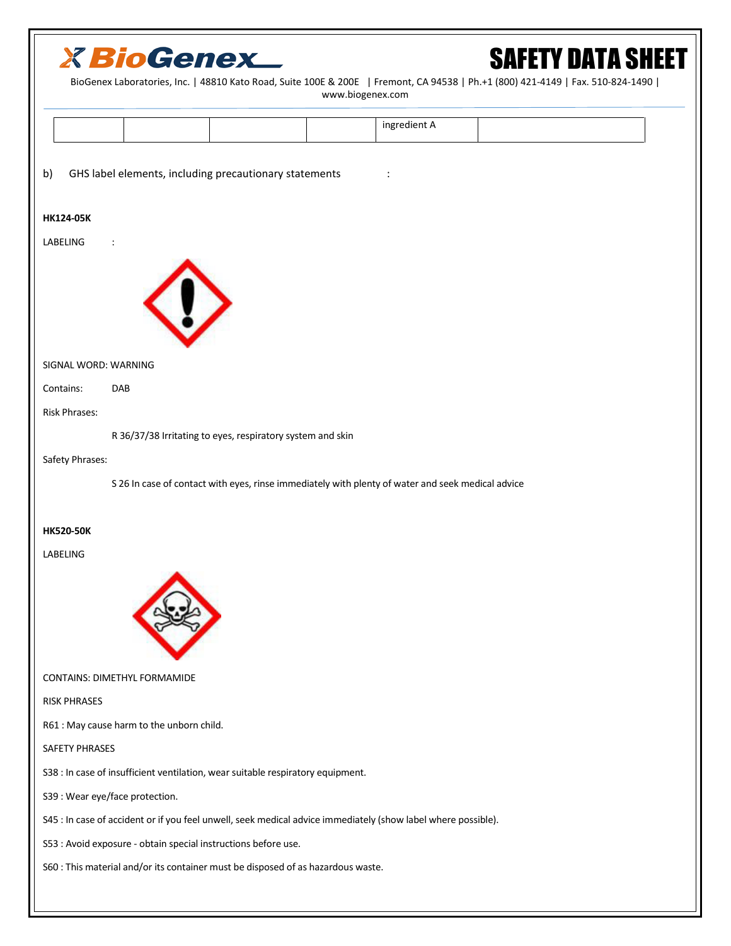| <b>X BioGenex</b><br><b>SAFETY DATA SHEET</b><br>BioGenex Laboratories, Inc.   48810 Kato Road, Suite 100E & 200E   Fremont, CA 94538   Ph.+1 (800) 421-4149   Fax. 510-824-1490  <br>www.biogenex.com |
|--------------------------------------------------------------------------------------------------------------------------------------------------------------------------------------------------------|
| ingredient A                                                                                                                                                                                           |
| GHS label elements, including precautionary statements<br>b)                                                                                                                                           |
| <b>HK124-05K</b>                                                                                                                                                                                       |
| LABELING<br>$\ddot{\cdot}$                                                                                                                                                                             |
| SIGNAL WORD: WARNING                                                                                                                                                                                   |
| Contains:<br>DAB                                                                                                                                                                                       |
| <b>Risk Phrases:</b>                                                                                                                                                                                   |
| R 36/37/38 Irritating to eyes, respiratory system and skin                                                                                                                                             |
| Safety Phrases:                                                                                                                                                                                        |
| S 26 In case of contact with eyes, rinse immediately with plenty of water and seek medical advice                                                                                                      |
| <b>HK520-50K</b>                                                                                                                                                                                       |
| LABELING                                                                                                                                                                                               |
|                                                                                                                                                                                                        |
| CONTAINS: DIMETHYL FORMAMIDE                                                                                                                                                                           |
| <b>RISK PHRASES</b>                                                                                                                                                                                    |
| R61 : May cause harm to the unborn child.                                                                                                                                                              |
| SAFETY PHRASES                                                                                                                                                                                         |
| S38 : In case of insufficient ventilation, wear suitable respiratory equipment.                                                                                                                        |
| S39 : Wear eye/face protection.                                                                                                                                                                        |
| S45 : In case of accident or if you feel unwell, seek medical advice immediately (show label where possible).                                                                                          |
| S53 : Avoid exposure - obtain special instructions before use.                                                                                                                                         |
| S60 : This material and/or its container must be disposed of as hazardous waste.                                                                                                                       |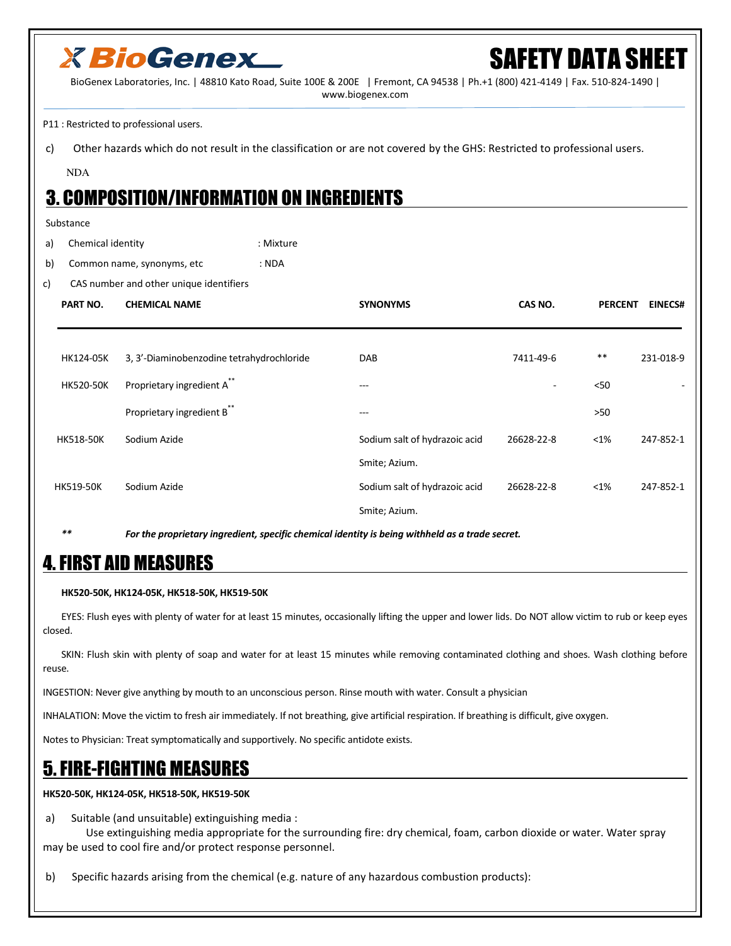

## FETY DATA SHEET

BioGenex Laboratories, Inc. | 48810 Kato Road, Suite 100E & 200E | Fremont, CA 94538 | Ph.+1 (800) 421-4149 | Fax. 510-824-1490 | www.biogenex.com

P11 : Restricted to professional users.

c) Other hazards which do not result in the classification or are not covered by the GHS: Restricted to professional users.

NDA

### 3. COMPOSITION/INFORMATION ON INGREDIENTS

#### Substance

a) Chemical identity in the settlement of the Mixture

b) Common name, synonyms, etc : NDA

c) CAS number and other unique identifiers

| PART NO.         | <b>CHEMICAL NAME</b>                      | <b>SYNONYMS</b>               | CAS NO.        | <b>PERCENT</b> | <b>EINECS#</b> |
|------------------|-------------------------------------------|-------------------------------|----------------|----------------|----------------|
|                  |                                           |                               |                |                |                |
| HK124-05K        | 3, 3'-Diaminobenzodine tetrahydrochloride | <b>DAB</b>                    | 7411-49-6      | $***$          | 231-018-9      |
| <b>HK520-50K</b> | Proprietary ingredient A**                | ---                           | $\blacksquare$ | $50$           |                |
|                  | Proprietary ingredient B**                | ---                           |                | $>50$          |                |
| <b>HK518-50K</b> | Sodium Azide                              | Sodium salt of hydrazoic acid | 26628-22-8     | $< 1\%$        | 247-852-1      |
|                  |                                           | Smite; Azium.                 |                |                |                |
| <b>HK519-50K</b> | Sodium Azide                              | Sodium salt of hydrazoic acid | 26628-22-8     | $<$ 1%         | 247-852-1      |
|                  |                                           | Smite; Azium.                 |                |                |                |

*\*\* For the proprietary ingredient, specific chemical identity is being withheld as a trade secret.* 

### 4. FIRST AID MEASURES

**HK520-50K, HK124-05K, HK518-50K, HK519-50K**

 EYES: Flush eyes with plenty of water for at least 15 minutes, occasionally lifting the upper and lower lids. Do NOT allow victim to rub or keep eyes closed.

 SKIN: Flush skin with plenty of soap and water for at least 15 minutes while removing contaminated clothing and shoes. Wash clothing before reuse.

INGESTION: Never give anything by mouth to an unconscious person. Rinse mouth with water. Consult a physician

INHALATION: Move the victim to fresh air immediately. If not breathing, give artificial respiration. If breathing is difficult, give oxygen.

Notes to Physician: Treat symptomatically and supportively. No specific antidote exists.

### 5. FIRE-FIGHTING MEASURES

**HK520-50K, HK124-05K, HK518-50K, HK519-50K**

a) Suitable (and unsuitable) extinguishing media :

 Use extinguishing media appropriate for the surrounding fire: dry chemical, foam, carbon dioxide or water. Water spray may be used to cool fire and/or protect response personnel.

b) Specific hazards arising from the chemical (e.g. nature of any hazardous combustion products):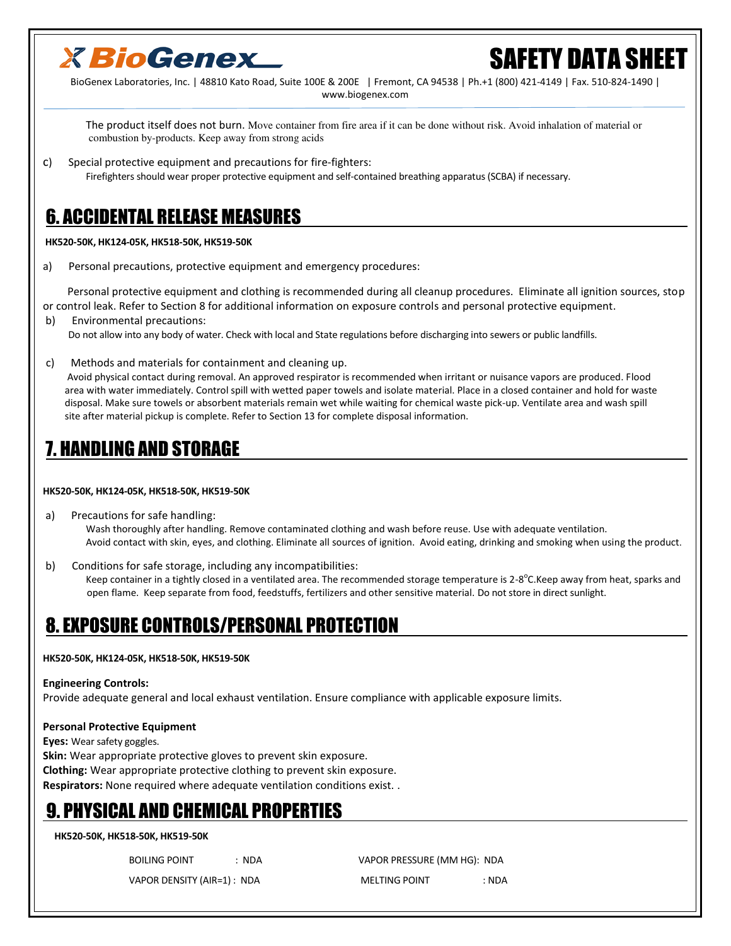

## SAFETY DATA SHEET

BioGenex Laboratories, Inc. | 48810 Kato Road, Suite 100E & 200E | Fremont, CA 94538 | Ph.+1 (800) 421-4149 | Fax. 510-824-1490 | www.biogenex.com

 The product itself does not burn. Move container from fire area if it can be done without risk. Avoid inhalation of material or combustion by-products. Keep away from strong acids

c) Special protective equipment and precautions for fire-fighters: Firefighters should wear proper protective equipment and self-contained breathing apparatus (SCBA) if necessary.

### 6. ACCIDENTAL RELEASE MEASURES

 **HK520-50K, HK124-05K, HK518-50K, HK519-50K** 

a) Personal precautions, protective equipment and emergency procedures:

 Personal protective equipment and clothing is recommended during all cleanup procedures. Eliminate all ignition sources, stop or control leak. Refer to Section 8 for additional information on exposure controls and personal protective equipment.

b) Environmental precautions:

Do not allow into any body of water. Check with local and State regulations before discharging into sewers or public landfills.

c) Methods and materials for containment and cleaning up.

 Avoid physical contact during removal. An approved respirator is recommended when irritant or nuisance vapors are produced. Flood area with water immediately. Control spill with wetted paper towels and isolate material. Place in a closed container and hold for waste disposal. Make sure towels or absorbent materials remain wet while waiting for chemical waste pick-up. Ventilate area and wash spill site after material pickup is complete. Refer to Section 13 for complete disposal information.

### 7. HANDLING AND STORAGE

#### **HK520-50K, HK124-05K, HK518-50K, HK519-50K**

 a) Precautions for safe handling: Wash thoroughly after handling. Remove contaminated clothing and wash before reuse. Use with adequate ventilation. Avoid contact with skin, eyes, and clothing. Eliminate all sources of ignition. Avoid eating, drinking and smoking when using the product.

 b) Conditions for safe storage, including any incompatibilities: Keep container in a tightly closed in a ventilated area. The recommended storage temperature is 2-8<sup>o</sup>C.Keep away from heat, sparks and open flame. Keep separate from food, feedstuffs, fertilizers and other sensitive material. Do not store in direct sunlight.

### 8. EXPOSURE CONTROLS/PERSONAL PROTECTION

#### **HK520-50K, HK124-05K, HK518-50K, HK519-50K**

#### **Engineering Controls:**

Provide adequate general and local exhaust ventilation. Ensure compliance with applicable exposure limits.

#### **Personal Protective Equipment**

**Eyes:** Wear safety goggles.

**Skin:** Wear appropriate protective gloves to prevent skin exposure.

**Clothing:** Wear appropriate protective clothing to prevent skin exposure.

**Respirators:** None required where adequate ventilation conditions exist. .

### 9. PHYSICAL AND CHEMICAL PROPERTIES

#### **HK520-50K, HK518-50K, HK519-50K**

BOILING POINT : NDA : NDA VAPOR PRESSURE (MM HG): NDA

VAPOR DENSITY (AIR=1) : NDA MELTING POINT : NDA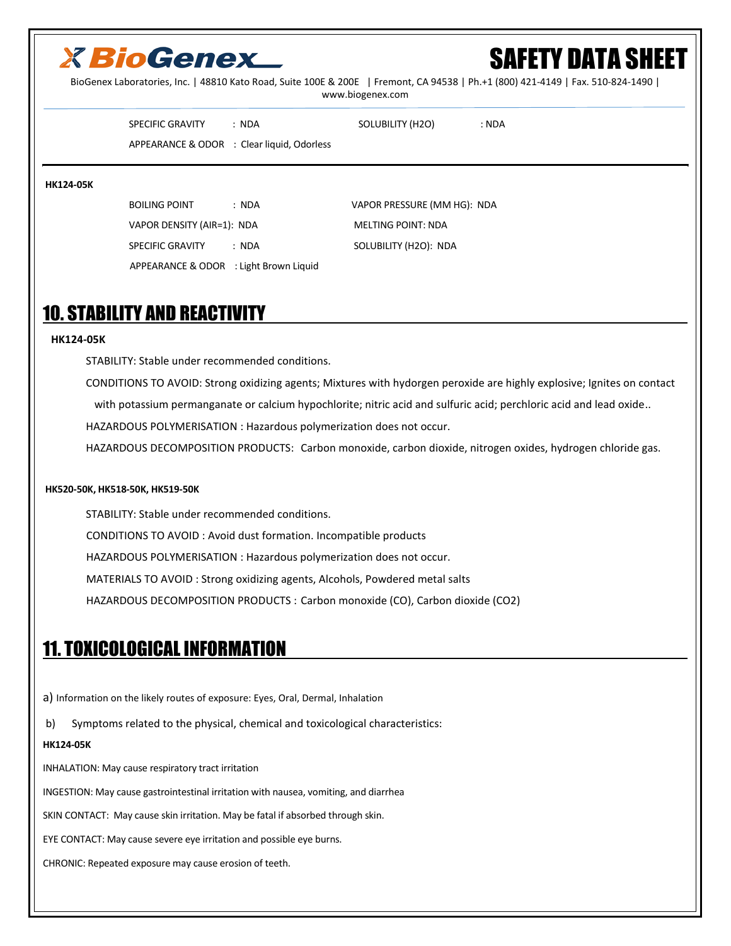## **X BioGenex**

# FETY DATA SHEFT

BioGenex Laboratories, Inc. | 48810 Kato Road, Suite 100E & 200E | Fremont, CA 94538 | Ph.+1 (800) 421-4149 | Fax. 510-824-1490 | www.biogenex.com

SPECIFIC GRAVITY : NDA SOLUBILITY (H2O) : NDA

APPEARANCE & ODOR : Clear liquid, Odorless

#### **HK124-05K**

BOILING POINT : NDA : NDA VAPOR PRESSURE (MM HG): NDA VAPOR DENSITY (AIR=1): NDA MELTING POINT: NDA SPECIFIC GRAVITY : NDA SOLUBILITY (H2O): NDA APPEARANCE & ODOR : Light Brown Liquid

### 10. STABILITY AND REACTIVITY

#### **HK124-05K**

STABILITY: Stable under recommended conditions.

CONDITIONS TO AVOID: Strong oxidizing agents; Mixtures with hydorgen peroxide are highly explosive; Ignites on contact

with potassium permanganate or calcium hypochlorite; nitric acid and sulfuric acid; perchloric acid and lead oxide..

HAZARDOUS POLYMERISATION : Hazardous polymerization does not occur.

HAZARDOUS DECOMPOSITION PRODUCTS: Carbon monoxide, carbon dioxide, nitrogen oxides, hydrogen chloride gas.

#### **HK520-50K, HK518-50K, HK519-50K**

 STABILITY: Stable under recommended conditions. CONDITIONS TO AVOID : Avoid dust formation. Incompatible products HAZARDOUS POLYMERISATION : Hazardous polymerization does not occur. MATERIALS TO AVOID : Strong oxidizing agents, Alcohols, Powdered metal salts HAZARDOUS DECOMPOSITION PRODUCTS : Carbon monoxide (CO), Carbon dioxide (CO2)

### 11. TOXICOLOGICAL INFORMATION

a) Information on the likely routes of exposure: Eyes, Oral, Dermal, Inhalation

b) Symptoms related to the physical, chemical and toxicological characteristics:

#### **HK124-05K**

INHALATION: May cause respiratory tract irritation

INGESTION: May cause gastrointestinal irritation with nausea, vomiting, and diarrhea

SKIN CONTACT: May cause skin irritation. May be fatal if absorbed through skin.

EYE CONTACT: May cause severe eye irritation and possible eye burns.

CHRONIC: Repeated exposure may cause erosion of teeth.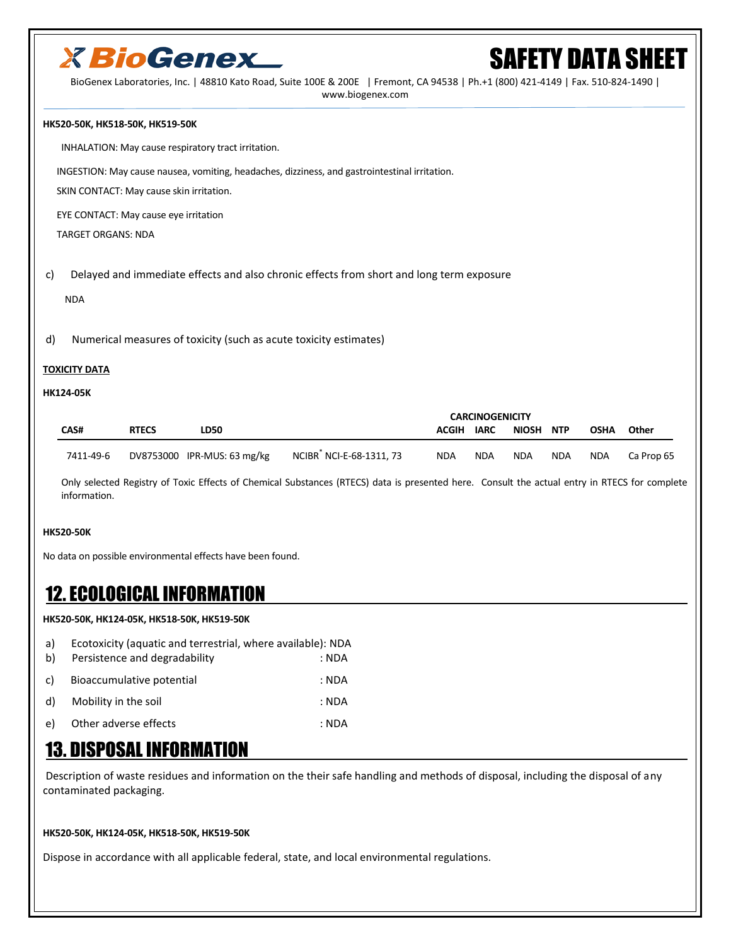

## *NEETY DATA SHEET*

BioGenex Laboratories, Inc. | 48810 Kato Road, Suite 100E & 200E | Fremont, CA 94538 | Ph.+1 (800) 421-4149 | Fax. 510-824-1490 |

www.biogenex.com

#### **HK520-50K, HK518-50K, HK519-50K**

INHALATION: May cause respiratory tract irritation.

INGESTION: May cause nausea, vomiting, headaches, dizziness, and gastrointestinal irritation.

SKIN CONTACT: May cause skin irritation.

EYE CONTACT: May cause eye irritation

TARGET ORGANS: NDA

c) Delayed and immediate effects and also chronic effects from short and long term exposure

NDA

d) Numerical measures of toxicity (such as acute toxicity estimates)

#### **TOXICITY DATA**

#### **HK124-05K**

|             |              |                             |                         | <b>CARCINOGENICITY</b> |             |              |            |            |            |
|-------------|--------------|-----------------------------|-------------------------|------------------------|-------------|--------------|------------|------------|------------|
| <b>CAS#</b> | <b>RTECS</b> | <b>LD50</b>                 |                         | <b>ACGIH</b>           | <b>IARC</b> | <b>NIOSH</b> | <b>NTP</b> | OSHA       | Other      |
| 7411-49-6   |              | DV8753000 IPR-MUS: 63 mg/kg | NCIBR NCI-E-68-1311, 73 | <b>NDA</b>             | <b>NDA</b>  | <b>NDA</b>   | <b>NDA</b> | <b>NDA</b> | Ca Prop 65 |

 Only selected Registry of Toxic Effects of Chemical Substances (RTECS) data is presented here. Consult the actual entry in RTECS for complete information.

#### **HK520-50K**

No data on possible environmental effects have been found.

### 12. ECOLOGICAL INFORMATION

#### **HK520-50K, HK124-05K, HK518-50K, HK519-50K**

| a) | Ecotoxicity (aquatic and terrestrial, where available): NDA |       |
|----|-------------------------------------------------------------|-------|
| b) | Persistence and degradability                               | : NDA |
| C) | Bioaccumulative potential                                   | : NDA |
| d) | Mobility in the soil                                        | : NDA |
| e) | Other adverse effects                                       | : NDA |

### 13. DISPOSAL INFORMATION

 Description of waste residues and information on the their safe handling and methods of disposal, including the disposal of any contaminated packaging.

#### **HK520-50K, HK124-05K, HK518-50K, HK519-50K**

Dispose in accordance with all applicable federal, state, and local environmental regulations.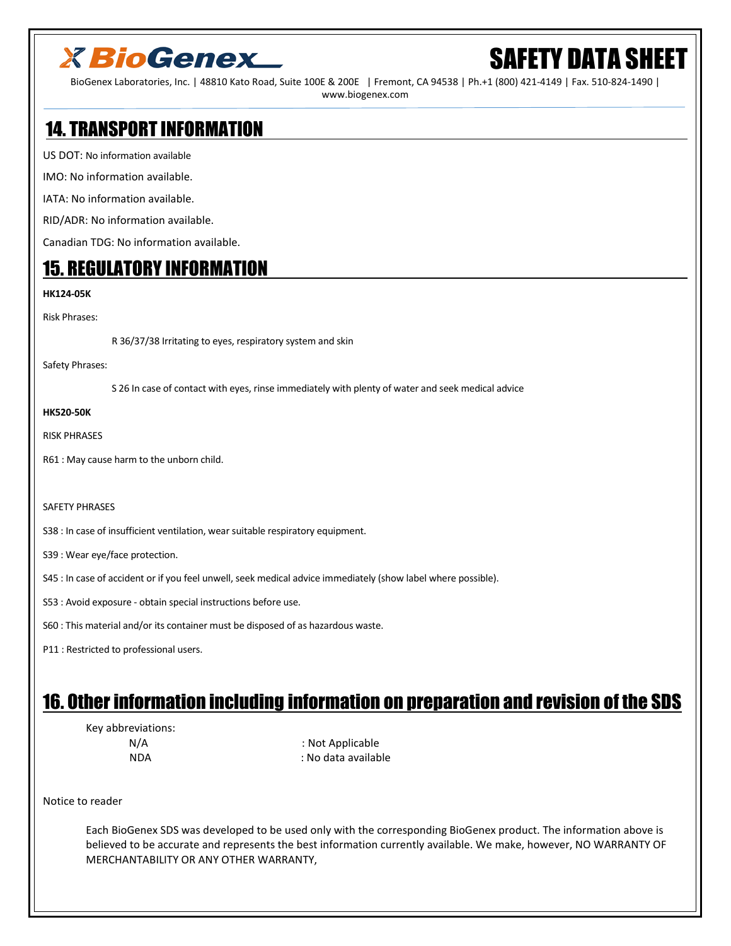## **X BioGenex**

# SAFETY DATA SHEET

BioGenex Laboratories, Inc. | 48810 Kato Road, Suite 100E & 200E | Fremont, CA 94538 | Ph.+1 (800) 421-4149 | Fax. 510-824-1490 | www.biogenex.com

### 14. TRANSPORT INFORMATION

US DOT: No information available

IMO: No information available.

IATA: No information available.

RID/ADR: No information available.

Canadian TDG: No information available.

### 15. REGULATORY INFORMATION

#### **HK124-05K**

Risk Phrases:

R 36/37/38 Irritating to eyes, respiratory system and skin

Safety Phrases:

S 26 In case of contact with eyes, rinse immediately with plenty of water and seek medical advice

#### **HK520-50K**

RISK PHRASES

R61 : May cause harm to the unborn child.

#### SAFETY PHRASES

S38 : In case of insufficient ventilation, wear suitable respiratory equipment.

S39 : Wear eye/face protection.

S45 : In case of accident or if you feel unwell, seek medical advice immediately (show label where possible).

- S53 : Avoid exposure obtain special instructions before use.
- S60 : This material and/or its container must be disposed of as hazardous waste.
- P11 : Restricted to professional users.

### 16. Other information including information on preparation and revision of the SDS

Key abbreviations:

N/A : Not Applicable NDA : No data available

Notice to reader

 Each BioGenex SDS was developed to be used only with the corresponding BioGenex product. The information above is believed to be accurate and represents the best information currently available. We make, however, NO WARRANTY OF MERCHANTABILITY OR ANY OTHER WARRANTY,